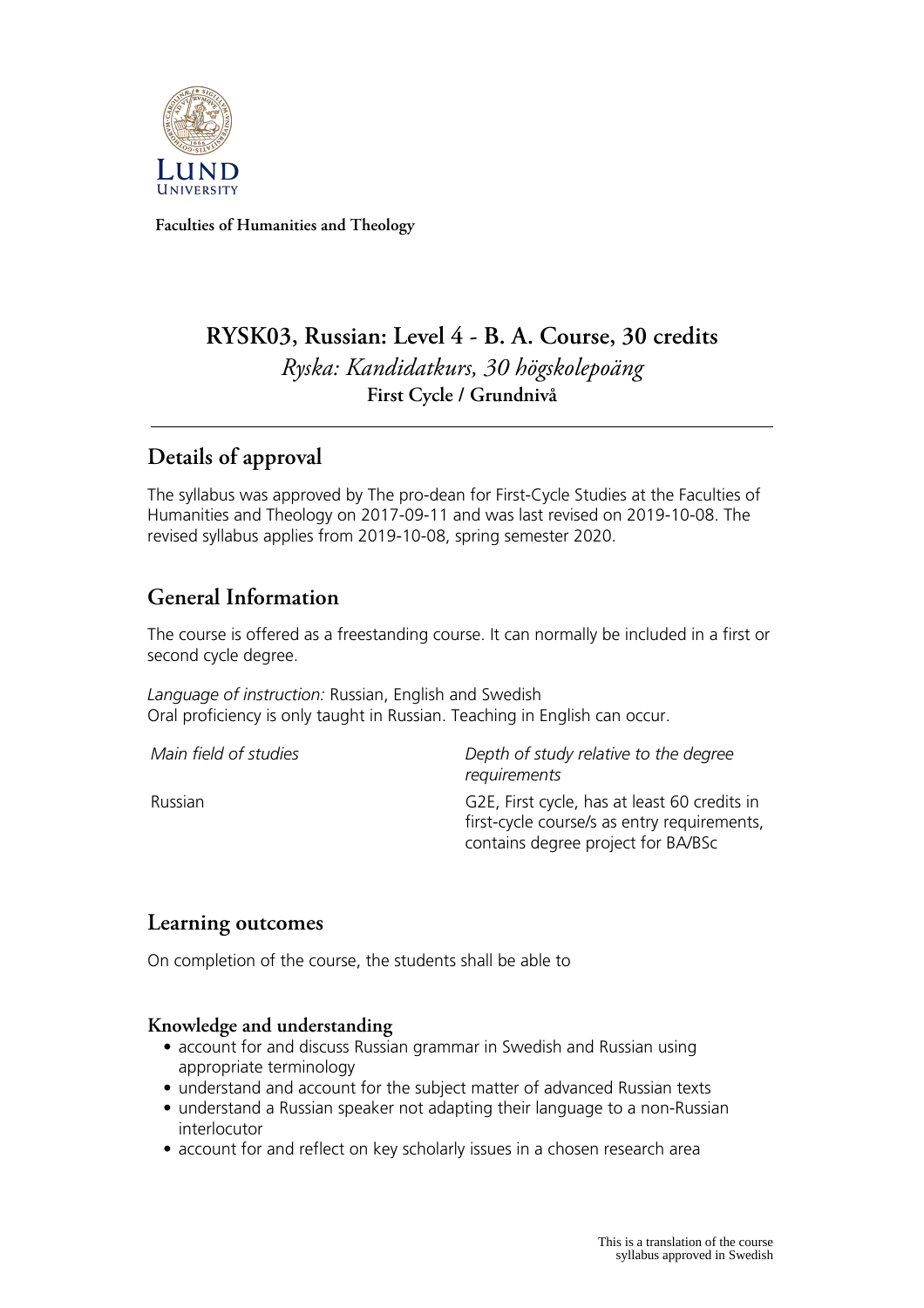

**Faculties of Humanities and Theology**

# **RYSK03, Russian: Level 4 - B. A. Course, 30 credits** *Ryska: Kandidatkurs, 30 högskolepoäng* **First Cycle / Grundnivå**

# **Details of approval**

The syllabus was approved by The pro-dean for First-Cycle Studies at the Faculties of Humanities and Theology on 2017-09-11 and was last revised on 2019-10-08. The revised syllabus applies from 2019-10-08, spring semester 2020.

# **General Information**

The course is offered as a freestanding course. It can normally be included in a first or second cycle degree.

*Language of instruction:* Russian, English and Swedish Oral proficiency is only taught in Russian. Teaching in English can occur.

*Main field of studies Depth of study relative to the degree requirements*

Russian G2E, First cycle, has at least 60 credits in first-cycle course/s as entry requirements, contains degree project for BA/BSc

## **Learning outcomes**

On completion of the course, the students shall be able to

#### **Knowledge and understanding**

- account for and discuss Russian grammar in Swedish and Russian using appropriate terminology
- understand and account for the subject matter of advanced Russian texts
- understand a Russian speaker not adapting their language to a non-Russian interlocutor
- account for and reflect on key scholarly issues in a chosen research area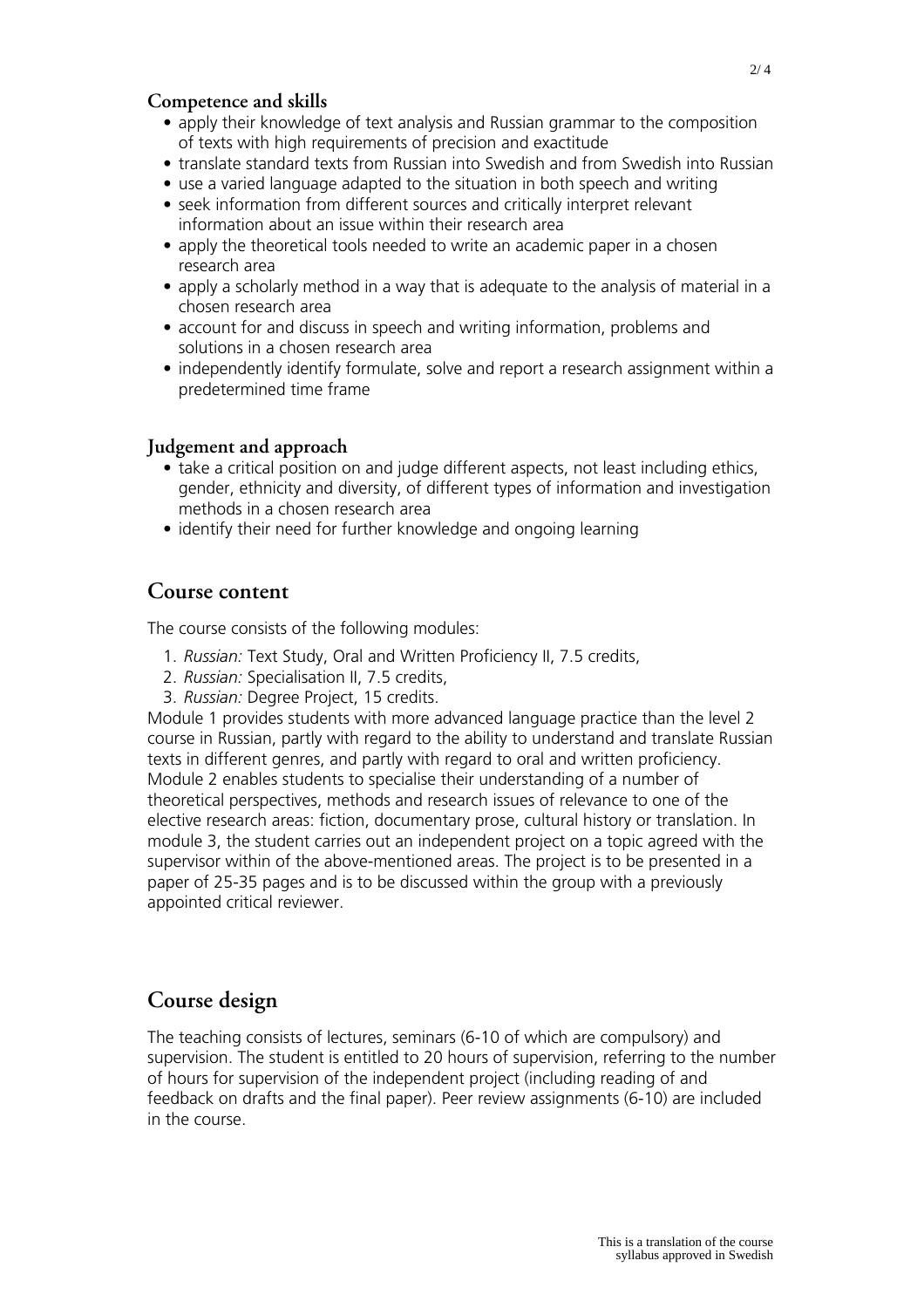### **Competence and skills**

- apply their knowledge of text analysis and Russian grammar to the composition of texts with high requirements of precision and exactitude
- translate standard texts from Russian into Swedish and from Swedish into Russian
- use a varied language adapted to the situation in both speech and writing
- seek information from different sources and critically interpret relevant information about an issue within their research area
- apply the theoretical tools needed to write an academic paper in a chosen research area
- apply a scholarly method in a way that is adequate to the analysis of material in a chosen research area
- account for and discuss in speech and writing information, problems and solutions in a chosen research area
- independently identify formulate, solve and report a research assignment within a predetermined time frame

#### **Judgement and approach**

- take a critical position on and judge different aspects, not least including ethics, gender, ethnicity and diversity, of different types of information and investigation methods in a chosen research area
- identify their need for further knowledge and ongoing learning

### **Course content**

The course consists of the following modules:

- 1. *Russian:* Text Study, Oral and Written Proficiency II, 7.5 credits,
- 2. *Russian:* Specialisation II, 7.5 credits,
- 3. *Russian:* Degree Project, 15 credits.

Module 1 provides students with more advanced language practice than the level 2 course in Russian, partly with regard to the ability to understand and translate Russian texts in different genres, and partly with regard to oral and written proficiency. Module 2 enables students to specialise their understanding of a number of theoretical perspectives, methods and research issues of relevance to one of the elective research areas: fiction, documentary prose, cultural history or translation. In module 3, the student carries out an independent project on a topic agreed with the supervisor within of the above-mentioned areas. The project is to be presented in a paper of 25-35 pages and is to be discussed within the group with a previously appointed critical reviewer.

## **Course design**

The teaching consists of lectures, seminars (6-10 of which are compulsory) and supervision. The student is entitled to 20 hours of supervision, referring to the number of hours for supervision of the independent project (including reading of and feedback on drafts and the final paper). Peer review assignments (6-10) are included in the course.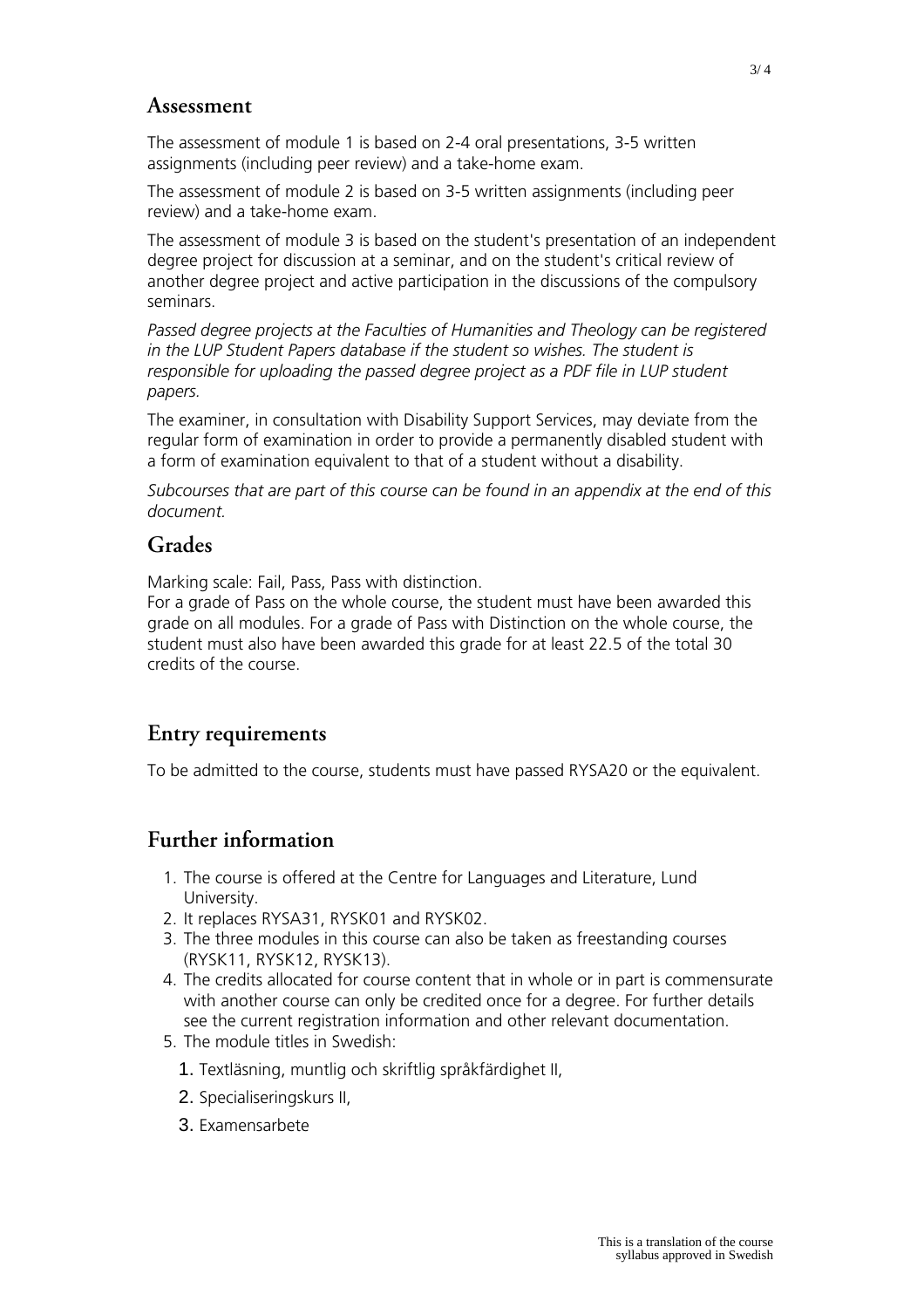### **Assessment**

The assessment of module 1 is based on 2-4 oral presentations, 3-5 written assignments (including peer review) and a take-home exam.

The assessment of module 2 is based on 3-5 written assignments (including peer review) and a take-home exam.

The assessment of module 3 is based on the student's presentation of an independent degree project for discussion at a seminar, and on the student's critical review of another degree project and active participation in the discussions of the compulsory seminars.

*Passed degree projects at the Faculties of Humanities and Theology can be registered in the LUP Student Papers database if the student so wishes. The student is responsible for uploading the passed degree project as a PDF file in LUP student papers.*

The examiner, in consultation with Disability Support Services, may deviate from the regular form of examination in order to provide a permanently disabled student with a form of examination equivalent to that of a student without a disability.

*Subcourses that are part of this course can be found in an appendix at the end of this document.*

## **Grades**

Marking scale: Fail, Pass, Pass with distinction.

For a grade of Pass on the whole course, the student must have been awarded this grade on all modules. For a grade of Pass with Distinction on the whole course, the student must also have been awarded this grade for at least 22.5 of the total 30 credits of the course.

## **Entry requirements**

To be admitted to the course, students must have passed RYSA20 or the equivalent.

## **Further information**

- 1. The course is offered at the Centre for Languages and Literature, Lund University.
- 2. It replaces RYSA31, RYSK01 and RYSK02.
- 3. The three modules in this course can also be taken as freestanding courses (RYSK11, RYSK12, RYSK13).
- 4. The credits allocated for course content that in whole or in part is commensurate with another course can only be credited once for a degree. For further details see the current registration information and other relevant documentation.
- 5. The module titles in Swedish:
	- 1. Textläsning, muntlig och skriftlig språkfärdighet II,
	- 2. Specialiseringskurs II,
	- 3. Examensarbete